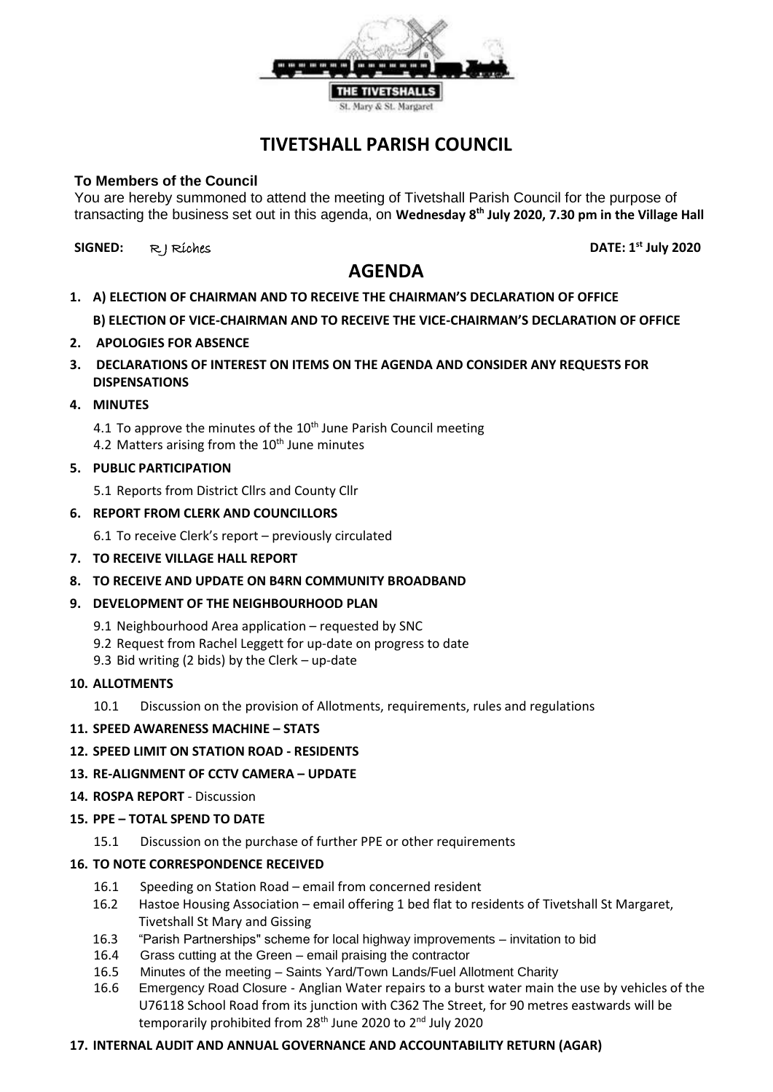

# **TIVETSHALL PARISH COUNCIL**

## **To Members of the Council**

You are hereby summoned to attend the meeting of Tivetshall Parish Council for the purpose of transacting the business set out in this agenda, on **Wednesday 8 th July 2020, 7.30 pm in the Village Hall**

**SIGNED:** R J Riches **DATE: 1st July 2020**

# **AGENDA**

- **1. A) ELECTION OF CHAIRMAN AND TO RECEIVE THE CHAIRMAN'S DECLARATION OF OFFICE B) ELECTION OF VICE-CHAIRMAN AND TO RECEIVE THE VICE-CHAIRMAN'S DECLARATION OF OFFICE**
- **2. APOLOGIES FOR ABSENCE**
- **3. DECLARATIONS OF INTEREST ON ITEMS ON THE AGENDA AND CONSIDER ANY REQUESTS FOR DISPENSATIONS**
- **4. MINUTES**

4.1 To approve the minutes of the  $10<sup>th</sup>$  June Parish Council meeting 4.2 Matters arising from the  $10<sup>th</sup>$  June minutes

**5. PUBLIC PARTICIPATION**

5.1 Reports from District Cllrs and County Cllr

## **6. REPORT FROM CLERK AND COUNCILLORS**

6.1 To receive Clerk's report – previously circulated

- **7. TO RECEIVE VILLAGE HALL REPORT**
- **8. TO RECEIVE AND UPDATE ON B4RN COMMUNITY BROADBAND**
- **9. DEVELOPMENT OF THE NEIGHBOURHOOD PLAN**
	- 9.1 Neighbourhood Area application requested by SNC
	- 9.2 Request from Rachel Leggett for up-date on progress to date
	- 9.3 Bid writing (2 bids) by the Clerk up-date
- **10. ALLOTMENTS**
	- 10.1 Discussion on the provision of Allotments, requirements, rules and regulations

#### **11. SPEED AWARENESS MACHINE – STATS**

#### **12. SPEED LIMIT ON STATION ROAD - RESIDENTS**

#### **13. RE-ALIGNMENT OF CCTV CAMERA – UPDATE**

- **14. ROSPA REPORT**  Discussion
- **15. PPE – TOTAL SPEND TO DATE**
	- 15.1 Discussion on the purchase of further PPE or other requirements

#### **16. TO NOTE CORRESPONDENCE RECEIVED**

- 16.1 Speeding on Station Road email from concerned resident
- 16.2 Hastoe Housing Association email offering 1 bed flat to residents of Tivetshall St Margaret, Tivetshall St Mary and Gissing
- 16.3 "Parish Partnerships" scheme for local highway improvements invitation to bid
- 16.4 Grass cutting at the Green email praising the contractor
- 16.5 Minutes of the meeting Saints Yard/Town Lands/Fuel Allotment Charity
- 16.6 Emergency Road Closure Anglian Water repairs to a burst water main the use by vehicles of the U76118 School Road from its junction with C362 The Street, for 90 metres eastwards will be temporarily prohibited from 28<sup>th</sup> June 2020 to 2<sup>nd</sup> July 2020

#### **17. INTERNAL AUDIT AND ANNUAL GOVERNANCE AND ACCOUNTABILITY RETURN (AGAR)**